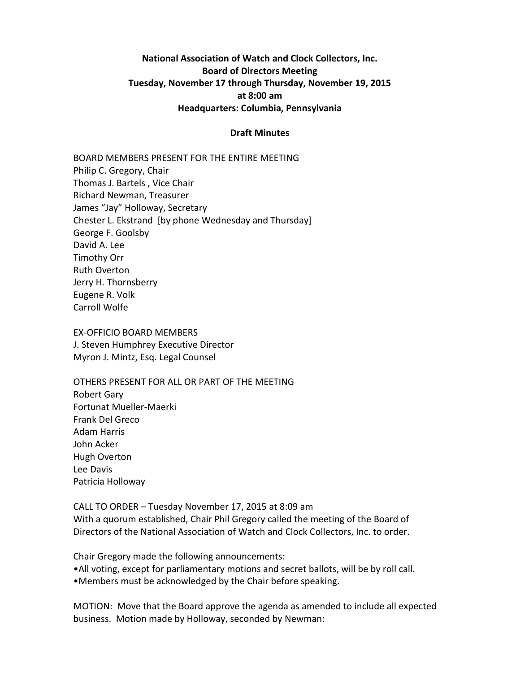# **National Association of Watch and Clock Collectors, Inc. Board of Directors Meeting Tuesday, November 17 through Thursday, November 19, 2015 at 8:00 am Headquarters: Columbia, Pennsylvania**

#### **Draft Minutes**

BOARD MEMBERS PRESENT FOR THE ENTIRE MEETING Philip C. Gregory, Chair Thomas J. Bartels , Vice Chair Richard Newman, Treasurer James "Jay" Holloway, Secretary Chester L. Ekstrand [by phone Wednesday and Thursday] George F. Goolsby David A. Lee Timothy Orr Ruth Overton Jerry H. Thornsberry Eugene R. Volk Carroll Wolfe

EX-OFFICIO BOARD MEMBERS J. Steven Humphrey Executive Director Myron J. Mintz, Esq. Legal Counsel

OTHERS PRESENT FOR ALL OR PART OF THE MEETING Robert Gary Fortunat Mueller-Maerki Frank Del Greco Adam Harris John Acker Hugh Overton Lee Davis Patricia Holloway

CALL TO ORDER – Tuesday November 17, 2015 at 8:09 am With a quorum established, Chair Phil Gregory called the meeting of the Board of Directors of the National Association of Watch and Clock Collectors, Inc. to order.

Chair Gregory made the following announcements: •All voting, except for parliamentary motions and secret ballots, will be by roll call. •Members must be acknowledged by the Chair before speaking.

MOTION: Move that the Board approve the agenda as amended to include all expected business. Motion made by Holloway, seconded by Newman: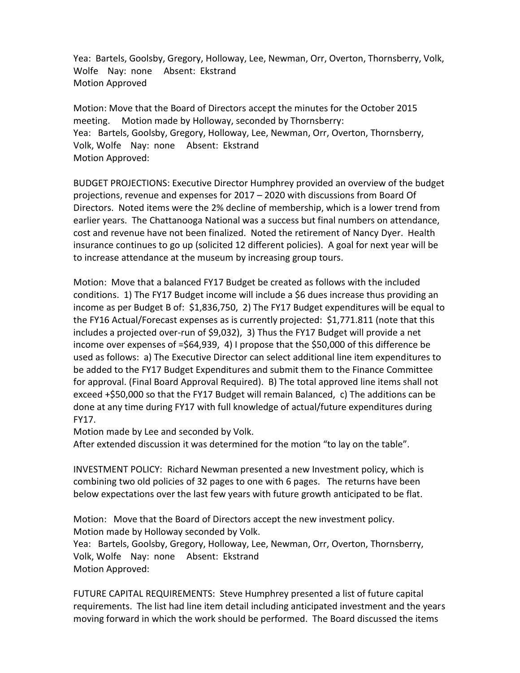Yea: Bartels, Goolsby, Gregory, Holloway, Lee, Newman, Orr, Overton, Thornsberry, Volk, Wolfe Nay: none Absent: Ekstrand Motion Approved

Motion: Move that the Board of Directors accept the minutes for the October 2015 meeting. Motion made by Holloway, seconded by Thornsberry: Yea: Bartels, Goolsby, Gregory, Holloway, Lee, Newman, Orr, Overton, Thornsberry, Volk, Wolfe Nay: none Absent: Ekstrand Motion Approved:

BUDGET PROJECTIONS: Executive Director Humphrey provided an overview of the budget projections, revenue and expenses for 2017 – 2020 with discussions from Board Of Directors. Noted items were the 2% decline of membership, which is a lower trend from earlier years. The Chattanooga National was a success but final numbers on attendance, cost and revenue have not been finalized. Noted the retirement of Nancy Dyer. Health insurance continues to go up (solicited 12 different policies). A goal for next year will be to increase attendance at the museum by increasing group tours.

Motion: Move that a balanced FY17 Budget be created as follows with the included conditions. 1) The FY17 Budget income will include a \$6 dues increase thus providing an income as per Budget B of: \$1,836,750, 2) The FY17 Budget expenditures will be equal to the FY16 Actual/Forecast expenses as is currently projected: \$1,771.811 (note that this includes a projected over-run of \$9,032), 3) Thus the FY17 Budget will provide a net income over expenses of =\$64,939, 4) I propose that the \$50,000 of this difference be used as follows: a) The Executive Director can select additional line item expenditures to be added to the FY17 Budget Expenditures and submit them to the Finance Committee for approval. (Final Board Approval Required). B) The total approved line items shall not exceed +\$50,000 so that the FY17 Budget will remain Balanced, c) The additions can be done at any time during FY17 with full knowledge of actual/future expenditures during FY17.

Motion made by Lee and seconded by Volk.

After extended discussion it was determined for the motion "to lay on the table".

INVESTMENT POLICY: Richard Newman presented a new Investment policy, which is combining two old policies of 32 pages to one with 6 pages. The returns have been below expectations over the last few years with future growth anticipated to be flat.

Motion: Move that the Board of Directors accept the new investment policy. Motion made by Holloway seconded by Volk.

Yea: Bartels, Goolsby, Gregory, Holloway, Lee, Newman, Orr, Overton, Thornsberry, Volk, Wolfe Nay: none Absent: Ekstrand Motion Approved:

FUTURE CAPITAL REQUIREMENTS: Steve Humphrey presented a list of future capital requirements. The list had line item detail including anticipated investment and the years moving forward in which the work should be performed. The Board discussed the items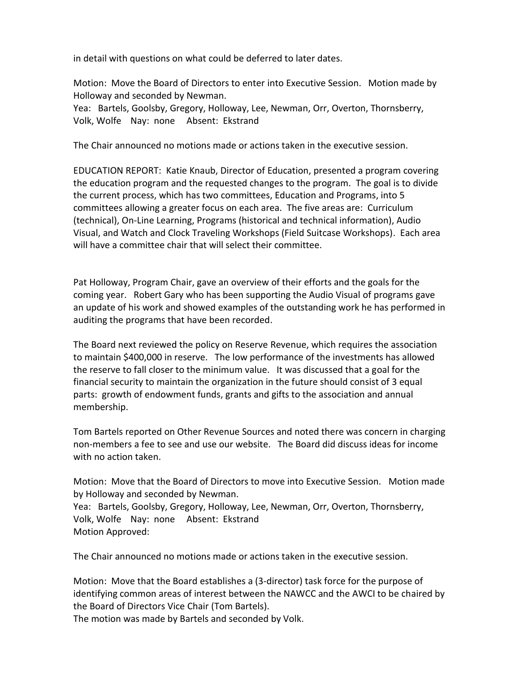in detail with questions on what could be deferred to later dates.

Motion: Move the Board of Directors to enter into Executive Session. Motion made by Holloway and seconded by Newman.

Yea: Bartels, Goolsby, Gregory, Holloway, Lee, Newman, Orr, Overton, Thornsberry, Volk, Wolfe Nay: none Absent: Ekstrand

The Chair announced no motions made or actions taken in the executive session.

EDUCATION REPORT: Katie Knaub, Director of Education, presented a program covering the education program and the requested changes to the program. The goal is to divide the current process, which has two committees, Education and Programs, into 5 committees allowing a greater focus on each area. The five areas are: Curriculum (technical), On-Line Learning, Programs (historical and technical information), Audio Visual, and Watch and Clock Traveling Workshops (Field Suitcase Workshops). Each area will have a committee chair that will select their committee.

Pat Holloway, Program Chair, gave an overview of their efforts and the goals for the coming year. Robert Gary who has been supporting the Audio Visual of programs gave an update of his work and showed examples of the outstanding work he has performed in auditing the programs that have been recorded.

The Board next reviewed the policy on Reserve Revenue, which requires the association to maintain \$400,000 in reserve. The low performance of the investments has allowed the reserve to fall closer to the minimum value. It was discussed that a goal for the financial security to maintain the organization in the future should consist of 3 equal parts: growth of endowment funds, grants and gifts to the association and annual membership.

Tom Bartels reported on Other Revenue Sources and noted there was concern in charging non-members a fee to see and use our website. The Board did discuss ideas for income with no action taken.

Motion: Move that the Board of Directors to move into Executive Session. Motion made by Holloway and seconded by Newman. Yea: Bartels, Goolsby, Gregory, Holloway, Lee, Newman, Orr, Overton, Thornsberry, Volk, Wolfe Nay: none Absent: Ekstrand Motion Approved:

The Chair announced no motions made or actions taken in the executive session.

Motion: Move that the Board establishes a (3-director) task force for the purpose of identifying common areas of interest between the NAWCC and the AWCI to be chaired by the Board of Directors Vice Chair (Tom Bartels).

The motion was made by Bartels and seconded by Volk.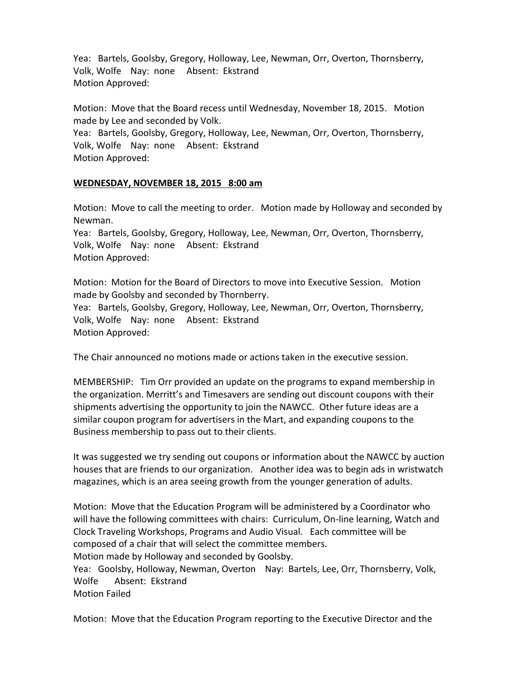Yea: Bartels, Goolsby, Gregory, Holloway, Lee, Newman, Orr, Overton, Thornsberry, Volk, Wolfe Nay: none Absent: Ekstrand Motion Approved:

Motion: Move that the Board recess until Wednesday, November 18, 2015. Motion made by Lee and seconded by Volk. Yea: Bartels, Goolsby, Gregory, Holloway, Lee, Newman, Orr, Overton, Thornsberry, Volk, Wolfe Nay: none Absent: Ekstrand Motion Approved:

### **WEDNESDAY, NOVEMBER 18, 2015 8:00 am**

Motion: Move to call the meeting to order. Motion made by Holloway and seconded by Newman. Yea: Bartels, Goolsby, Gregory, Holloway, Lee, Newman, Orr, Overton, Thornsberry, Volk, Wolfe Nay: none Absent: Ekstrand Motion Approved:

Motion: Motion for the Board of Directors to move into Executive Session. Motion made by Goolsby and seconded by Thornberry. Yea: Bartels, Goolsby, Gregory, Holloway, Lee, Newman, Orr, Overton, Thornsberry, Volk, Wolfe Nay: none Absent: Ekstrand Motion Approved:

The Chair announced no motions made or actions taken in the executive session.

MEMBERSHIP: Tim Orr provided an update on the programs to expand membership in the organization. Merritt's and Timesavers are sending out discount coupons with their shipments advertising the opportunity to join the NAWCC. Other future ideas are a similar coupon program for advertisers in the Mart, and expanding coupons to the Business membership to pass out to their clients.

It was suggested we try sending out coupons or information about the NAWCC by auction houses that are friends to our organization. Another idea was to begin ads in wristwatch magazines, which is an area seeing growth from the younger generation of adults.

Motion: Move that the Education Program will be administered by a Coordinator who will have the following committees with chairs: Curriculum, On-line learning, Watch and Clock Traveling Workshops, Programs and Audio Visual. Each committee will be composed of a chair that will select the committee members. Motion made by Holloway and seconded by Goolsby.

Yea: Goolsby, Holloway, Newman, Overton Nay: Bartels, Lee, Orr, Thornsberry, Volk, Wolfe Absent: Ekstrand Motion Failed

Motion: Move that the Education Program reporting to the Executive Director and the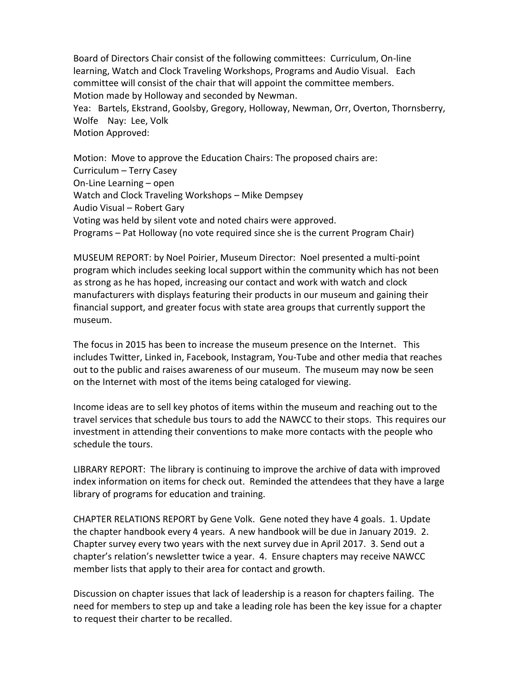Board of Directors Chair consist of the following committees: Curriculum, On-line learning, Watch and Clock Traveling Workshops, Programs and Audio Visual. Each committee will consist of the chair that will appoint the committee members. Motion made by Holloway and seconded by Newman. Yea: Bartels, Ekstrand, Goolsby, Gregory, Holloway, Newman, Orr, Overton, Thornsberry, Wolfe Nay: Lee, Volk

Motion Approved:

Motion: Move to approve the Education Chairs: The proposed chairs are: Curriculum – Terry Casey On-Line Learning – open Watch and Clock Traveling Workshops – Mike Dempsey Audio Visual – Robert Gary Voting was held by silent vote and noted chairs were approved. Programs – Pat Holloway (no vote required since she is the current Program Chair)

MUSEUM REPORT: by Noel Poirier, Museum Director: Noel presented a multi-point program which includes seeking local support within the community which has not been as strong as he has hoped, increasing our contact and work with watch and clock manufacturers with displays featuring their products in our museum and gaining their financial support, and greater focus with state area groups that currently support the museum.

The focus in 2015 has been to increase the museum presence on the Internet. This includes Twitter, Linked in, Facebook, Instagram, You-Tube and other media that reaches out to the public and raises awareness of our museum. The museum may now be seen on the Internet with most of the items being cataloged for viewing.

Income ideas are to sell key photos of items within the museum and reaching out to the travel services that schedule bus tours to add the NAWCC to their stops. This requires our investment in attending their conventions to make more contacts with the people who schedule the tours.

LIBRARY REPORT: The library is continuing to improve the archive of data with improved index information on items for check out. Reminded the attendees that they have a large library of programs for education and training.

CHAPTER RELATIONS REPORT by Gene Volk. Gene noted they have 4 goals. 1. Update the chapter handbook every 4 years. A new handbook will be due in January 2019. 2. Chapter survey every two years with the next survey due in April 2017. 3. Send out a chapter's relation's newsletter twice a year. 4. Ensure chapters may receive NAWCC member lists that apply to their area for contact and growth.

Discussion on chapter issues that lack of leadership is a reason for chapters failing. The need for members to step up and take a leading role has been the key issue for a chapter to request their charter to be recalled.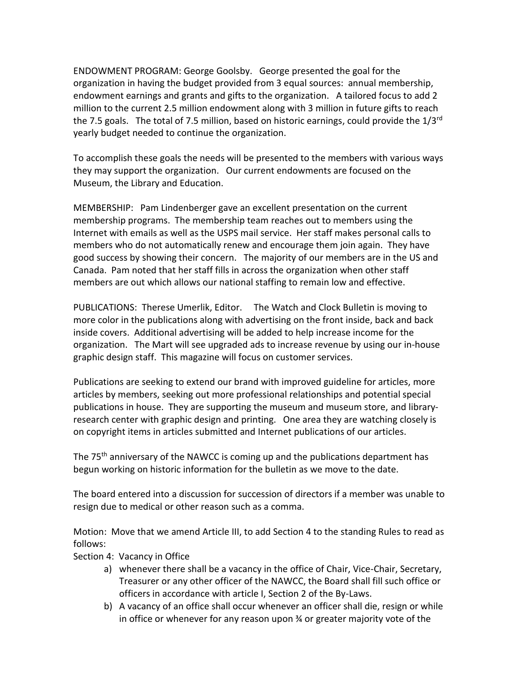ENDOWMENT PROGRAM: George Goolsby. George presented the goal for the organization in having the budget provided from 3 equal sources: annual membership, endowment earnings and grants and gifts to the organization. A tailored focus to add 2 million to the current 2.5 million endowment along with 3 million in future gifts to reach the 7.5 goals. The total of 7.5 million, based on historic earnings, could provide the 1/3<sup>rd</sup> yearly budget needed to continue the organization.

To accomplish these goals the needs will be presented to the members with various ways they may support the organization. Our current endowments are focused on the Museum, the Library and Education.

MEMBERSHIP: Pam Lindenberger gave an excellent presentation on the current membership programs. The membership team reaches out to members using the Internet with emails as well as the USPS mail service. Her staff makes personal calls to members who do not automatically renew and encourage them join again. They have good success by showing their concern. The majority of our members are in the US and Canada. Pam noted that her staff fills in across the organization when other staff members are out which allows our national staffing to remain low and effective.

PUBLICATIONS: [Therese Umerlik,](mailto:tumerlik@nawcc.org) Editor. The Watch and Clock Bulletin is moving to more color in the publications along with advertising on the front inside, back and back inside covers. Additional advertising will be added to help increase income for the organization. The Mart will see upgraded ads to increase revenue by using our in-house graphic design staff. This magazine will focus on customer services.

Publications are seeking to extend our brand with improved guideline for articles, more articles by members, seeking out more professional relationships and potential special publications in house. They are supporting the museum and museum store, and libraryresearch center with graphic design and printing. One area they are watching closely is on copyright items in articles submitted and Internet publications of our articles.

The 75<sup>th</sup> anniversary of the NAWCC is coming up and the publications department has begun working on historic information for the bulletin as we move to the date.

The board entered into a discussion for succession of directors if a member was unable to resign due to medical or other reason such as a comma.

Motion: Move that we amend Article III, to add Section 4 to the standing Rules to read as follows:

- Section 4: Vacancy in Office
	- a) whenever there shall be a vacancy in the office of Chair, Vice-Chair, Secretary, Treasurer or any other officer of the NAWCC, the Board shall fill such office or officers in accordance with article I, Section 2 of the By-Laws.
	- b) A vacancy of an office shall occur whenever an officer shall die, resign or while in office or whenever for any reason upon ¾ or greater majority vote of the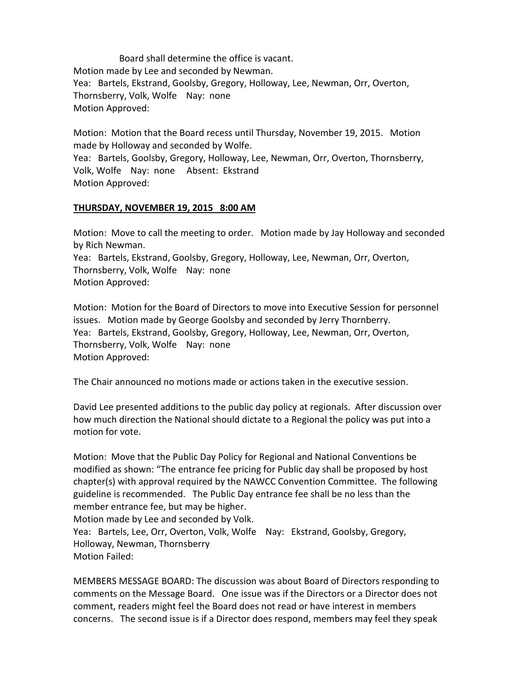Board shall determine the office is vacant. Motion made by Lee and seconded by Newman. Yea: Bartels, Ekstrand, Goolsby, Gregory, Holloway, Lee, Newman, Orr, Overton, Thornsberry, Volk, Wolfe Nay: none Motion Approved:

Motion: Motion that the Board recess until Thursday, November 19, 2015. Motion made by Holloway and seconded by Wolfe. Yea: Bartels, Goolsby, Gregory, Holloway, Lee, Newman, Orr, Overton, Thornsberry,

Volk, Wolfe Nay: none Absent: Ekstrand Motion Approved:

# **THURSDAY, NOVEMBER 19, 2015 8:00 AM**

Motion: Move to call the meeting to order. Motion made by Jay Holloway and seconded by Rich Newman.

Yea: Bartels, Ekstrand, Goolsby, Gregory, Holloway, Lee, Newman, Orr, Overton, Thornsberry, Volk, Wolfe Nay: none Motion Approved:

Motion: Motion for the Board of Directors to move into Executive Session for personnel issues. Motion made by George Goolsby and seconded by Jerry Thornberry. Yea: Bartels, Ekstrand, Goolsby, Gregory, Holloway, Lee, Newman, Orr, Overton, Thornsberry, Volk, Wolfe Nay: none Motion Approved:

The Chair announced no motions made or actions taken in the executive session.

David Lee presented additions to the public day policy at regionals. After discussion over how much direction the National should dictate to a Regional the policy was put into a motion for vote.

Motion: Move that the Public Day Policy for Regional and National Conventions be modified as shown: "The entrance fee pricing for Public day shall be proposed by host chapter(s) with approval required by the NAWCC Convention Committee. The following guideline is recommended. The Public Day entrance fee shall be no less than the member entrance fee, but may be higher.

Motion made by Lee and seconded by Volk. Yea: Bartels, Lee, Orr, Overton, Volk, Wolfe Nay: Ekstrand, Goolsby, Gregory, Holloway, Newman, Thornsberry Motion Failed:

MEMBERS MESSAGE BOARD: The discussion was about Board of Directors responding to comments on the Message Board. One issue was if the Directors or a Director does not comment, readers might feel the Board does not read or have interest in members concerns. The second issue is if a Director does respond, members may feel they speak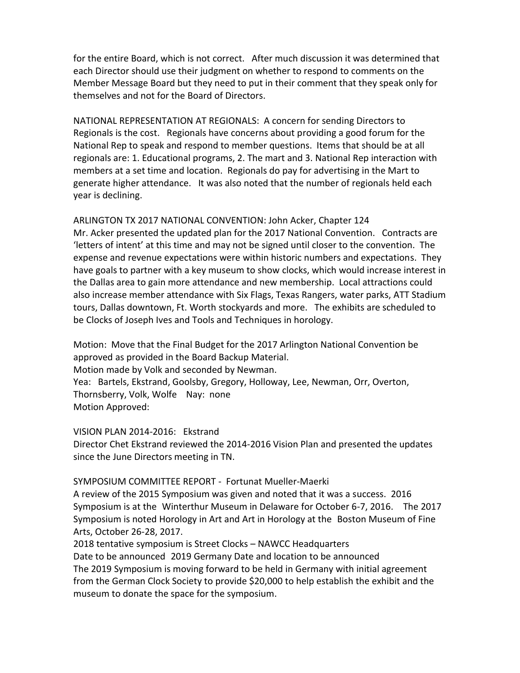for the entire Board, which is not correct. After much discussion it was determined that each Director should use their judgment on whether to respond to comments on the Member Message Board but they need to put in their comment that they speak only for themselves and not for the Board of Directors.

NATIONAL REPRESENTATION AT REGIONALS: A concern for sending Directors to Regionals is the cost. Regionals have concerns about providing a good forum for the National Rep to speak and respond to member questions. Items that should be at all regionals are: 1. Educational programs, 2. The mart and 3. National Rep interaction with members at a set time and location. Regionals do pay for advertising in the Mart to generate higher attendance. It was also noted that the number of regionals held each year is declining.

ARLINGTON TX 2017 NATIONAL CONVENTION: John Acker, Chapter 124 Mr. Acker presented the updated plan for the 2017 National Convention. Contracts are 'letters of intent' at this time and may not be signed until closer to the convention. The expense and revenue expectations were within historic numbers and expectations. They have goals to partner with a key museum to show clocks, which would increase interest in the Dallas area to gain more attendance and new membership. Local attractions could also increase member attendance with Six Flags, Texas Rangers, water parks, ATT Stadium tours, Dallas downtown, Ft. Worth stockyards and more. The exhibits are scheduled to be Clocks of Joseph Ives and Tools and Techniques in horology.

Motion: Move that the Final Budget for the 2017 Arlington National Convention be approved as provided in the Board Backup Material. Motion made by Volk and seconded by Newman. Yea: Bartels, Ekstrand, Goolsby, Gregory, Holloway, Lee, Newman, Orr, Overton, Thornsberry, Volk, Wolfe Nay: none Motion Approved:

VISION PLAN 2014-2016: Ekstrand Director Chet Ekstrand reviewed the 2014-2016 Vision Plan and presented the updates since the June Directors meeting in TN.

SYMPOSIUM COMMITTEE REPORT - Fortunat Mueller-Maerki

A review of the 2015 Symposium was given and noted that it was a success. 2016 Symposium is at the Winterthur Museum in Delaware for October 6-7, 2016. The 2017 Symposium is noted Horology in Art and Art in Horology at the Boston Museum of Fine Arts, October 26-28, 2017.

2018 tentative symposium is Street Clocks – NAWCC Headquarters Date to be announced 2019 Germany Date and location to be announced The 2019 Symposium is moving forward to be held in Germany with initial agreement from the German Clock Society to provide \$20,000 to help establish the exhibit and the museum to donate the space for the symposium.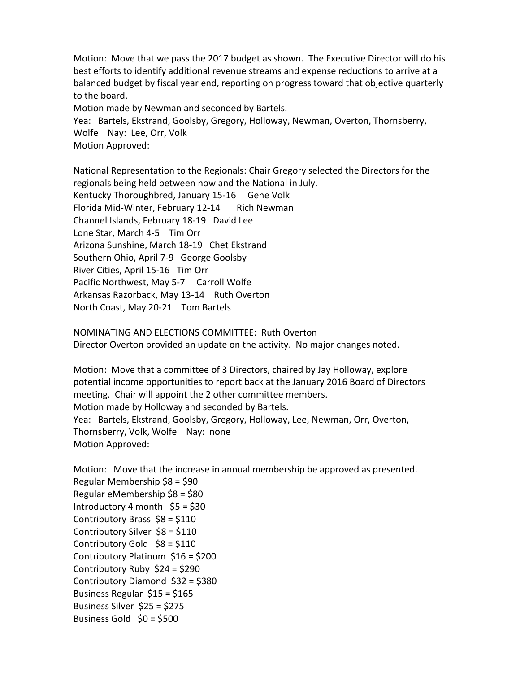Motion: Move that we pass the 2017 budget as shown. The Executive Director will do his best efforts to identify additional revenue streams and expense reductions to arrive at a balanced budget by fiscal year end, reporting on progress toward that objective quarterly to the board.

Motion made by Newman and seconded by Bartels.

Yea: Bartels, Ekstrand, Goolsby, Gregory, Holloway, Newman, Overton, Thornsberry, Wolfe Nay: Lee, Orr, Volk Motion Approved:

National Representation to the Regionals: Chair Gregory selected the Directors for the regionals being held between now and the National in July. Kentucky Thoroughbred, January 15-16 Gene Volk Florida Mid-Winter, February 12-14 Rich Newman Channel Islands, February 18-19 David Lee Lone Star, March 4-5 Tim Orr Arizona Sunshine, March 18-19 Chet Ekstrand Southern Ohio, April 7-9 George Goolsby River Cities, April 15-16 Tim Orr Pacific Northwest, May 5-7 Carroll Wolfe Arkansas Razorback, May 13-14 Ruth Overton North Coast, May 20-21 Tom Bartels

NOMINATING AND ELECTIONS COMMITTEE: Ruth Overton Director Overton provided an update on the activity. No major changes noted.

Motion: Move that a committee of 3 Directors, chaired by Jay Holloway, explore potential income opportunities to report back at the January 2016 Board of Directors meeting. Chair will appoint the 2 other committee members. Motion made by Holloway and seconded by Bartels. Yea: Bartels, Ekstrand, Goolsby, Gregory, Holloway, Lee, Newman, Orr, Overton, Thornsberry, Volk, Wolfe Nay: none Motion Approved:

Motion: Move that the increase in annual membership be approved as presented. Regular Membership \$8 = \$90 Regular eMembership \$8 = \$80 Introductory 4 month  $$5 = $30$ Contributory Brass \$8 = \$110 Contributory Silver \$8 = \$110 Contributory Gold  $$8 = $110$ Contributory Platinum \$16 = \$200 Contributory Ruby \$24 = \$290 Contributory Diamond \$32 = \$380 Business Regular \$15 = \$165 Business Silver \$25 = \$275 Business Gold  $$0 = $500$